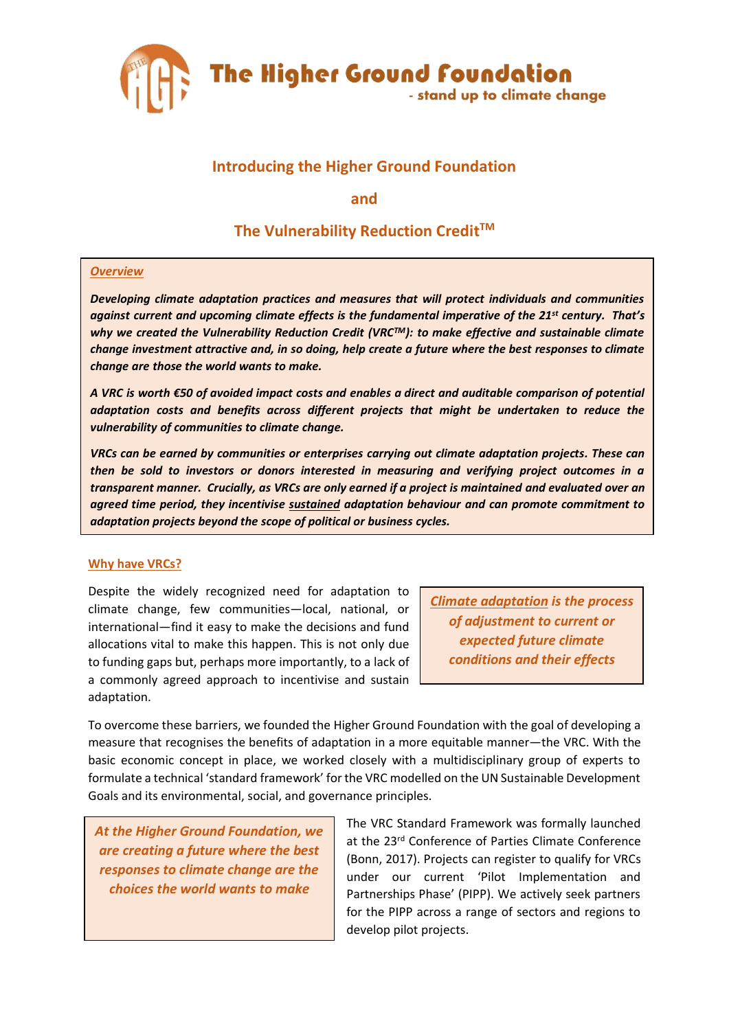

## **Introducing the Higher Ground Foundation**

**and** 

# **The Vulnerability Reduction Credit TM**

## *Overview*

*Developing climate adaptation practices and measures that will protect individuals and communities against current and upcoming climate effects is the fundamental imperative of the 21st century. That's why we created the Vulnerability Reduction Credit (VRCTM): to make effective and sustainable climate change investment attractive and, in so doing, help create a future where the best responses to climate change are those the world wants to make.*

*A VRC is worth €50 of avoided impact costs and enables a direct and auditable comparison of potential adaptation costs and benefits across different projects that might be undertaken to reduce the vulnerability of communities to climate change.* 

*VRCs can be earned by communities or enterprises carrying out climate adaptation projects. These can then be sold to investors or donors interested in measuring and verifying project outcomes in a transparent manner. Crucially, as VRCs are only earned if a project is maintained and evaluated over an agreed time period, they incentivise sustained adaptation behaviour and can promote commitment to adaptation projects beyond the scope of political or business cycles.*

## **Why have VRCs?**

Despite the widely recognized need for adaptation to climate change, few communities—local, national, or international—find it easy to make the decisions and fund allocations vital to make this happen. This is not only due to funding gaps but, perhaps more importantly, to a lack of a commonly agreed approach to incentivise and sustain adaptation.

*[Climate adaptation](https://www.ipcc.ch/site/assets/uploads/2018/02/WGIIAR5-AnnexII_FINAL.pdf) is the process of adjustment to current or expected future climate conditions and their effects*

To overcome these barriers, we founded the Higher Ground Foundation with the goal of developing a measure that recognises the benefits of adaptation in a more equitable manner—the VRC. With the basic economic concept in place, we worked closely with a multidisciplinary group of experts to formulate a technical 'standard framework' for the VRC modelled on the UN Sustainable Development Goals and its environmental, social, and governance principles.

*At the Higher Ground Foundation, we are creating a future where the best responses to climate change are the choices the world wants to make*

The VRC Standard Framework was formally launched at the 23rd Conference of Parties Climate Conference (Bonn, 2017). Projects can register to qualify for VRCs under our current 'Pilot Implementation and Partnerships Phase' (PIPP). We actively seek partners for the PIPP across a range of sectors and regions to develop pilot projects.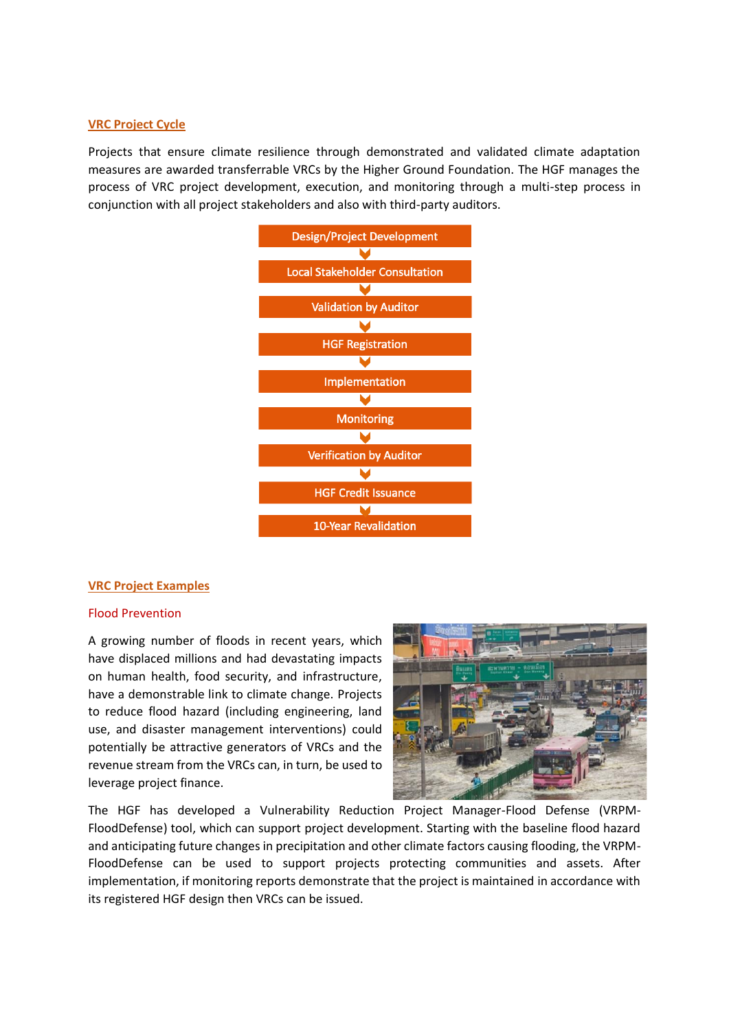#### **VRC Project Cycle**

Projects that ensure climate resilience through demonstrated and validated climate adaptation measures are awarded transferrable VRCs by the Higher Ground Foundation. The HGF manages the process of VRC project development, execution, and monitoring through a multi-step process in conjunction with all project stakeholders and also with third-party auditors.



#### **VRC Project Examples**

#### Flood Prevention

A growing number of floods in recent years, which have displaced millions and had devastating impacts on human health, food security, and infrastructure, have a demonstrable link to climate change. Projects to reduce flood hazard (including engineering, land use, and disaster management interventions) could potentially be attractive generators of VRCs and the revenue stream from the VRCs can, in turn, be used to leverage project finance.



The HGF has developed a Vulnerability Reduction Project Manager-Flood Defense (VRPM-FloodDefense) tool, which can support project development. Starting with the baseline flood hazard and anticipating future changes in precipitation and other climate factors causing flooding, the VRPM-FloodDefense can be used to support projects protecting communities and assets. After implementation, if monitoring reports demonstrate that the project is maintained in accordance with its registered HGF design then VRCs can be issued.